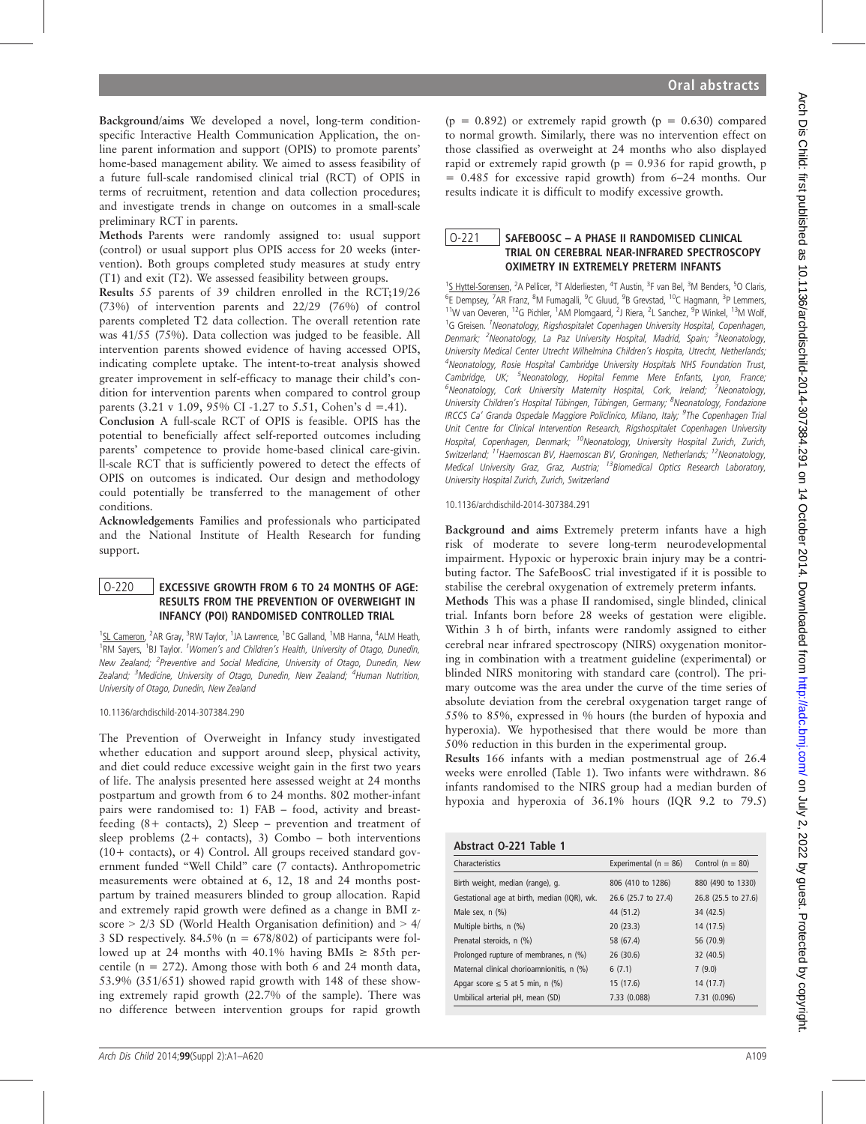Background/aims We developed a novel, long-term conditionspecific Interactive Health Communication Application, the online parent information and support (OPIS) to promote parents' home-based management ability. We aimed to assess feasibility of a future full-scale randomised clinical trial (RCT) of OPIS in terms of recruitment, retention and data collection procedures; and investigate trends in change on outcomes in a small-scale preliminary RCT in parents.

Methods Parents were randomly assigned to: usual support (control) or usual support plus OPIS access for 20 weeks (intervention). Both groups completed study measures at study entry (T1) and exit (T2). We assessed feasibility between groups.

Results 55 parents of 39 children enrolled in the RCT;19/26 (73%) of intervention parents and 22/29 (76%) of control parents completed T2 data collection. The overall retention rate was 41/55 (75%). Data collection was judged to be feasible. All intervention parents showed evidence of having accessed OPIS, indicating complete uptake. The intent-to-treat analysis showed greater improvement in self-efficacy to manage their child's condition for intervention parents when compared to control group parents  $(3.21 \text{ y } 1.09, 95\% \text{ CI } -1.27 \text{ to } 5.51, \text{ Cohen's d} = .41).$ 

Conclusion A full-scale RCT of OPIS is feasible. OPIS has the potential to beneficially affect self-reported outcomes including parents' competence to provide home-based clinical care-givin. ll-scale RCT that is sufficiently powered to detect the effects of OPIS on outcomes is indicated. Our design and methodology could potentially be transferred to the management of other conditions.

Acknowledgements Families and professionals who participated and the National Institute of Health Research for funding support.

### O-220 | EXCESSIVE GROWTH FROM 6 TO 24 MONTHS OF AGE: RESULTS FROM THE PREVENTION OF OVERWEIGHT IN INFANCY (POI) RANDOMISED CONTROLLED TRIAL

<sup>1</sup>SL Cameron, <sup>2</sup>AR Gray, <sup>3</sup>RW Taylor, <sup>1</sup>JA Lawrence, <sup>1</sup>BC Galland, <sup>1</sup>MB Hanna, <sup>4</sup>ALM Heath, <sup>1</sup>RM Sayers, <sup>1</sup>BJ Taylor. <sup>1</sup>Women's and Children's Health, University of Otago, Dunedin, New Zealand; <sup>2</sup>Preventive and Social Medicine, University of Otago, Dunedin, New Zealand; <sup>3</sup>Medicine, University of Otago, Dunedin, New Zealand; <sup>4</sup>Human Nutrition, University of Otago, Dunedin, New Zealand

10.1136/archdischild-2014-307384.290

The Prevention of Overweight in Infancy study investigated whether education and support around sleep, physical activity, and diet could reduce excessive weight gain in the first two years of life. The analysis presented here assessed weight at 24 months postpartum and growth from 6 to 24 months. 802 mother-infant pairs were randomised to: 1) FAB – food, activity and breastfeeding (8+ contacts), 2) Sleep – prevention and treatment of sleep problems  $(2 + \text{ contacts})$ , 3) Combo – both interventions (10+ contacts), or 4) Control. All groups received standard government funded "Well Child" care (7 contacts). Anthropometric measurements were obtained at 6, 12, 18 and 24 months postpartum by trained measurers blinded to group allocation. Rapid and extremely rapid growth were defined as a change in BMI zscore > 2/3 SD (World Health Organisation definition) and > 4/ 3 SD respectively. 84.5% ( $n = 678/802$ ) of participants were followed up at 24 months with 40.1% having BMIs  $\geq$  85th percentile ( $n = 272$ ). Among those with both 6 and 24 month data, 53.9% (351/651) showed rapid growth with 148 of these showing extremely rapid growth (22.7% of the sample). There was no difference between intervention groups for rapid growth

 $(p = 0.892)$  or extremely rapid growth  $(p = 0.630)$  compared to normal growth. Similarly, there was no intervention effect on those classified as overweight at 24 months who also displayed rapid or extremely rapid growth ( $p = 0.936$  for rapid growth, p = 0.485 for excessive rapid growth) from 6–24 months. Our results indicate it is difficult to modify excessive growth.

## O-221 SAFEBOOSC – A PHASE II RANDOMISED CLINICAL TRIAL ON CEREBRAL NEAR-INFRARED SPECTROSCOPY OXIMETRY IN EXTREMELY PRETERM INFANTS

<sup>1</sup>S Hyttel-Sorensen, <sup>2</sup>A Pellicer, <sup>3</sup>T Alderliesten, <sup>4</sup>T Austin, <sup>3</sup>F van Bel, <sup>3</sup>M Benders, <sup>5</sup>O Claris, <sup>6</sup>E Dempsey, <sup>7</sup>AR Franz, <sup>8</sup>M Fumagalli, <sup>9</sup>C Gluud, <sup>9</sup>B Grevstad, <sup>10</sup>C Hagmann, <sup>3</sup>P Lemmers, <sup>11</sup>W van Oeveren, <sup>12</sup>G Pichler, <sup>1</sup>AM Plomgaard, <sup>2</sup>J Riera, <sup>2</sup>L Sanchez, <sup>9</sup>P Winkel, <sup>13</sup>M Wolf, <sup>1</sup>G Greisen. <sup>1</sup>Neonatology, Rigshospitalet Copenhagen University Hospital, Copenhagen, Denmark; <sup>2</sup>Neonatology, La Paz University Hospital, Madrid, Spain; <sup>3</sup>Neonatology, University Medical Center Utrecht Wilhelmina Children's Hospita, Utrecht, Netherlands; <sup>4</sup>Neonatology, Rosie Hospital Cambridge University Hospitals NHS Foundation Trust, Cambridge, UK; <sup>5</sup>Neonatology, Hopital Femme Mere Enfants, Lyon, France; <sup>6</sup>Neonatology, Cork University Maternity Hospital, Cork, Ireland; <sup>7</sup>Neonatology, University Children's Hospital Tübingen, Tübingen, Germany; <sup>8</sup>Neonatology, Fondazione IRCCS Ca' Granda Ospedale Maggiore Policlinico, Milano, Italy; <sup>9</sup>The Copenhagen Trial Unit Centre for Clinical Intervention Research, Rigshospitalet Copenhagen University Hospital, Copenhagen, Denmark; <sup>10</sup>Neonatology, University Hospital Zurich, Zurich, Switzerland; <sup>11</sup>Haemoscan BV, Haemoscan BV, Groningen, Netherlands; <sup>12</sup>Neonatology, Medical University Graz, Graz, Austria; <sup>13</sup>Biomedical Optics Research Laboratory, University Hospital Zurich, Zurich, Switzerland

10.1136/archdischild-2014-307384.291

Background and aims Extremely preterm infants have a high risk of moderate to severe long-term neurodevelopmental impairment. Hypoxic or hyperoxic brain injury may be a contributing factor. The SafeBoosC trial investigated if it is possible to stabilise the cerebral oxygenation of extremely preterm infants.

Methods This was a phase II randomised, single blinded, clinical trial. Infants born before 28 weeks of gestation were eligible. Within 3 h of birth, infants were randomly assigned to either cerebral near infrared spectroscopy (NIRS) oxygenation monitoring in combination with a treatment guideline (experimental) or blinded NIRS monitoring with standard care (control). The primary outcome was the area under the curve of the time series of absolute deviation from the cerebral oxygenation target range of 55% to 85%, expressed in % hours (the burden of hypoxia and hyperoxia). We hypothesised that there would be more than 50% reduction in this burden in the experimental group.

Results 166 infants with a median postmenstrual age of 26.4 weeks were enrolled (Table 1). Two infants were withdrawn. 86 infants randomised to the NIRS group had a median burden of hypoxia and hyperoxia of 36.1% hours (IQR 9.2 to 79.5)

# Abstract O-221 Table 1

| Characteristics                             | Experimental ( $n = 86$ ) | Control ( $n = 80$ ) |
|---------------------------------------------|---------------------------|----------------------|
| Birth weight, median (range), g.            | 806 (410 to 1286)         | 880 (490 to 1330)    |
| Gestational age at birth, median (IQR), wk. | 26.6 (25.7 to 27.4)       | 26.8 (25.5 to 27.6)  |
| Male sex, n (%)                             | 44 (51.2)                 | 34 (42.5)            |
| Multiple births, n (%)                      | 20 (23.3)                 | 14 (17.5)            |
| Prenatal steroids, n (%)                    | 58 (67.4)                 | 56 (70.9)            |
| Prolonged rupture of membranes, n (%)       | 26(30.6)                  | 32 (40.5)            |
| Maternal clinical chorioamnionitis, n (%)   | 6(7.1)                    | 7(9.0)               |
| Apgar score $\leq$ 5 at 5 min, n (%)        | 15 (17.6)                 | 14 (17.7)            |
| Umbilical arterial pH, mean (SD)            | 7.33 (0.088)              | 7.31 (0.096)         |